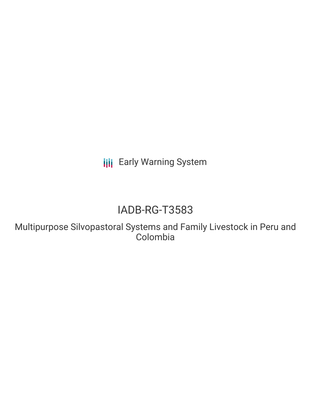**III** Early Warning System

# IADB-RG-T3583

Multipurpose Silvopastoral Systems and Family Livestock in Peru and Colombia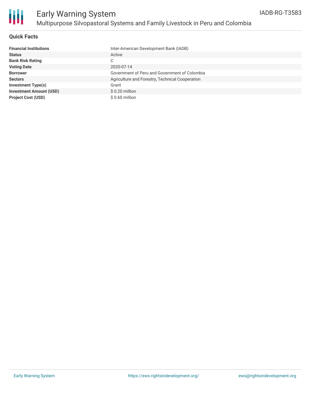

### **Quick Facts**

| <b>Financial Institutions</b>  | Inter-American Development Bank (IADB)          |
|--------------------------------|-------------------------------------------------|
| <b>Status</b>                  | Active                                          |
| <b>Bank Risk Rating</b>        | С                                               |
| <b>Voting Date</b>             | 2020-07-14                                      |
| <b>Borrower</b>                | Government of Peru and Government of Colombia   |
| <b>Sectors</b>                 | Agriculture and Forestry, Technical Cooperation |
| Investment Type(s)             | Grant                                           |
| <b>Investment Amount (USD)</b> | $$0.20$ million                                 |
| <b>Project Cost (USD)</b>      | $$0.60$ million                                 |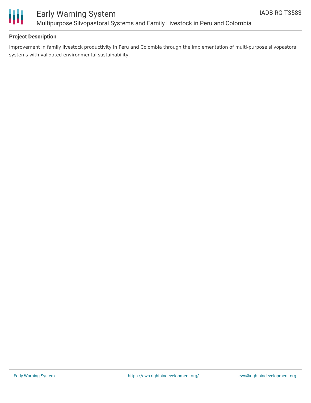

### **Project Description**

Improvement in family livestock productivity in Peru and Colombia through the implementation of multi-purpose silvopastoral systems with validated environmental sustainability.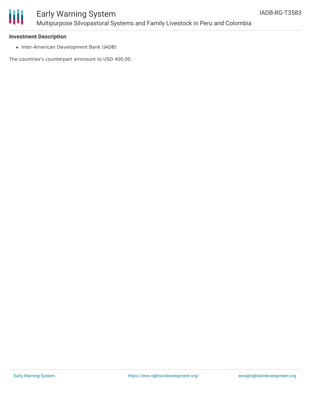

## Early Warning System Multipurpose Silvopastoral Systems and Family Livestock in Peru and Colombia

### **Investment Description**

• Inter-American Development Bank (IADB)

The countries's counterpart ammount to USD 400,00.